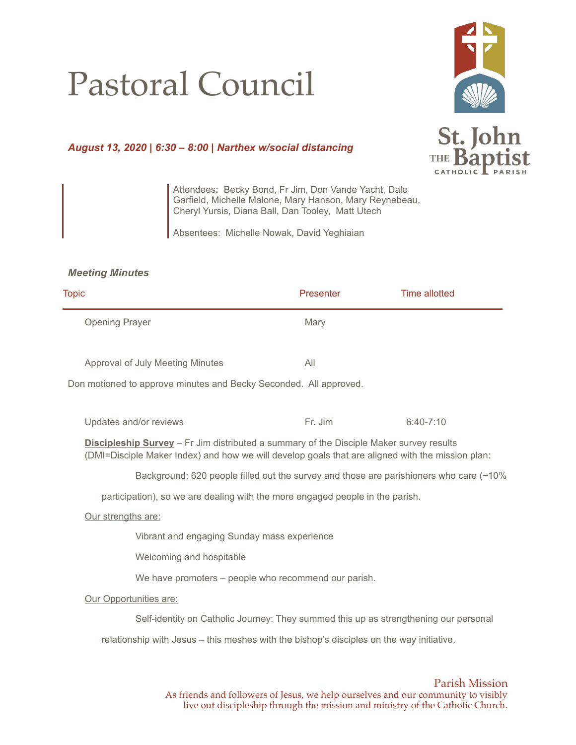## Pastoral Council



## *August 13, 2020 | 6:30 – 8:00 | Narthex w/social distancing*

St. John THE **Bant** 

Attendees**:** Becky Bond, Fr Jim, Don Vande Yacht, Dale Garfield, Michelle Malone, Mary Hanson, Mary Reynebeau, Cheryl Yursis, Diana Ball, Dan Tooley, Matt Utech

Absentees: Michelle Nowak, David Yeghiaian

## *Meeting Minutes*

| <b>Topic</b>                                                                                                                                                                                       | Presenter | <b>Time allotted</b>                                                                   |
|----------------------------------------------------------------------------------------------------------------------------------------------------------------------------------------------------|-----------|----------------------------------------------------------------------------------------|
| <b>Opening Prayer</b>                                                                                                                                                                              | Mary      |                                                                                        |
| Approval of July Meeting Minutes                                                                                                                                                                   | All       |                                                                                        |
| Don motioned to approve minutes and Becky Seconded. All approved.                                                                                                                                  |           |                                                                                        |
| Updates and/or reviews                                                                                                                                                                             | Fr. Jim   | $6:40 - 7:10$                                                                          |
| <b>Discipleship Survey</b> – Fr Jim distributed a summary of the Disciple Maker survey results<br>(DMI=Disciple Maker Index) and how we will develop goals that are aligned with the mission plan: |           |                                                                                        |
|                                                                                                                                                                                                    |           | Background: 620 people filled out the survey and those are parishioners who care (~10% |
| participation), so we are dealing with the more engaged people in the parish.                                                                                                                      |           |                                                                                        |
| Our strengths are:                                                                                                                                                                                 |           |                                                                                        |
| Vibrant and engaging Sunday mass experience                                                                                                                                                        |           |                                                                                        |
| Welcoming and hospitable                                                                                                                                                                           |           |                                                                                        |
| We have promoters – people who recommend our parish.                                                                                                                                               |           |                                                                                        |
| Our Opportunities are:                                                                                                                                                                             |           |                                                                                        |
| Self-identity on Catholic Journey: They summed this up as strengthening our personal                                                                                                               |           |                                                                                        |
| relationship with Jesus – this meshes with the bishop's disciples on the way initiative.                                                                                                           |           |                                                                                        |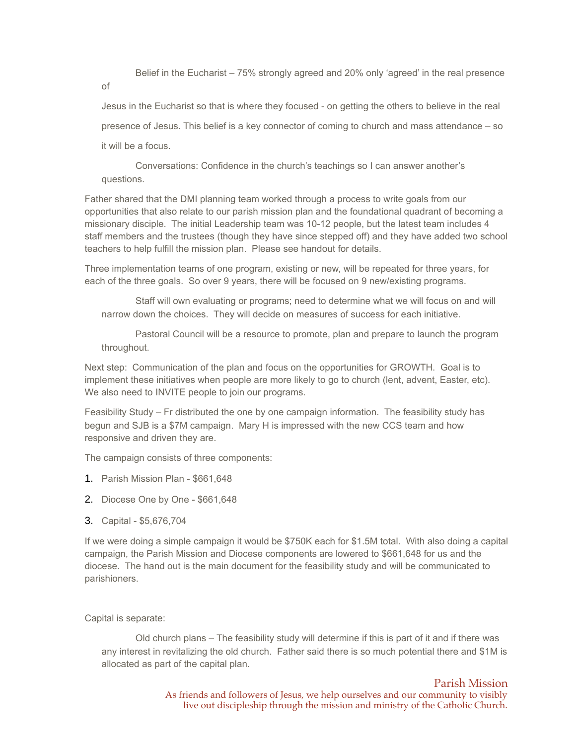Belief in the Eucharist – 75% strongly agreed and 20% only 'agreed' in the real presence of

Jesus in the Eucharist so that is where they focused - on getting the others to believe in the real presence of Jesus. This belief is a key connector of coming to church and mass attendance – so it will be a focus.

Conversations: Confidence in the church's teachings so I can answer another's questions.

Father shared that the DMI planning team worked through a process to write goals from our opportunities that also relate to our parish mission plan and the foundational quadrant of becoming a missionary disciple. The initial Leadership team was 10-12 people, but the latest team includes 4 staff members and the trustees (though they have since stepped off) and they have added two school teachers to help fulfill the mission plan. Please see handout for details.

Three implementation teams of one program, existing or new, will be repeated for three years, for each of the three goals. So over 9 years, there will be focused on 9 new/existing programs.

Staff will own evaluating or programs; need to determine what we will focus on and will narrow down the choices. They will decide on measures of success for each initiative.

Pastoral Council will be a resource to promote, plan and prepare to launch the program throughout.

Next step: Communication of the plan and focus on the opportunities for GROWTH. Goal is to implement these initiatives when people are more likely to go to church (lent, advent, Easter, etc). We also need to INVITE people to join our programs.

Feasibility Study – Fr distributed the one by one campaign information. The feasibility study has begun and SJB is a \$7M campaign. Mary H is impressed with the new CCS team and how responsive and driven they are.

The campaign consists of three components:

- 1. Parish Mission Plan \$661,648
- 2. Diocese One by One \$661,648
- 3. Capital \$5,676,704

If we were doing a simple campaign it would be \$750K each for \$1.5M total. With also doing a capital campaign, the Parish Mission and Diocese components are lowered to \$661,648 for us and the diocese. The hand out is the main document for the feasibility study and will be communicated to parishioners.

Capital is separate:

Old church plans – The feasibility study will determine if this is part of it and if there was any interest in revitalizing the old church. Father said there is so much potential there and \$1M is allocated as part of the capital plan.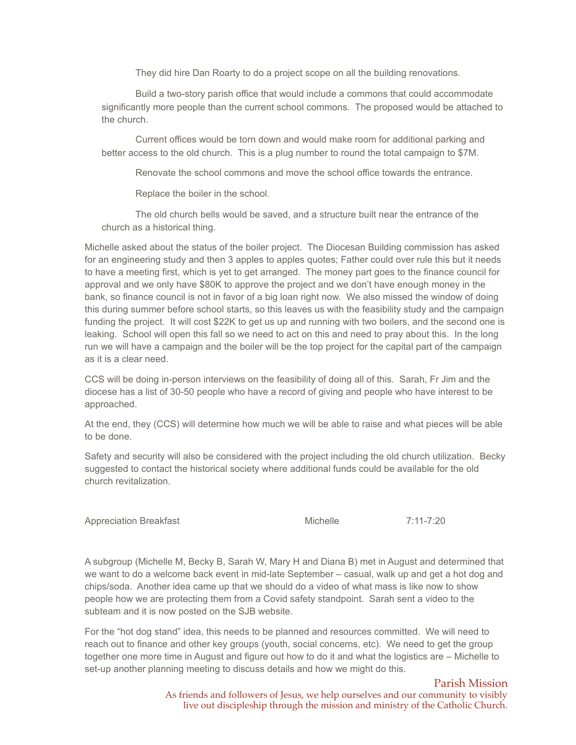They did hire Dan Roarty to do a project scope on all the building renovations.

Build a two-story parish office that would include a commons that could accommodate significantly more people than the current school commons. The proposed would be attached to the church.

Current offices would be torn down and would make room for additional parking and better access to the old church. This is a plug number to round the total campaign to \$7M.

Renovate the school commons and move the school office towards the entrance.

Replace the boiler in the school.

The old church bells would be saved, and a structure built near the entrance of the church as a historical thing.

Michelle asked about the status of the boiler project. The Diocesan Building commission has asked for an engineering study and then 3 apples to apples quotes; Father could over rule this but it needs to have a meeting first, which is yet to get arranged. The money part goes to the finance council for approval and we only have \$80K to approve the project and we don't have enough money in the bank, so finance council is not in favor of a big loan right now. We also missed the window of doing this during summer before school starts, so this leaves us with the feasibility study and the campaign funding the project. It will cost \$22K to get us up and running with two boilers, and the second one is leaking. School will open this fall so we need to act on this and need to pray about this. In the long run we will have a campaign and the boiler will be the top project for the capital part of the campaign as it is a clear need.

CCS will be doing in-person interviews on the feasibility of doing all of this. Sarah, Fr Jim and the diocese has a list of 30-50 people who have a record of giving and people who have interest to be approached.

At the end, they (CCS) will determine how much we will be able to raise and what pieces will be able to be done.

Safety and security will also be considered with the project including the old church utilization. Becky suggested to contact the historical society where additional funds could be available for the old church revitalization.

Appreciation Breakfast **Michelle** 7:11-7:20

A subgroup (Michelle M, Becky B, Sarah W, Mary H and Diana B) met in August and determined that we want to do a welcome back event in mid-late September – casual, walk up and get a hot dog and chips/soda. Another idea came up that we should do a video of what mass is like now to show people how we are protecting them from a Covid safety standpoint. Sarah sent a video to the subteam and it is now posted on the SJB website.

For the "hot dog stand" idea, this needs to be planned and resources committed. We will need to reach out to finance and other key groups (youth, social concerns, etc). We need to get the group together one more time in August and figure out how to do it and what the logistics are – Michelle to set-up another planning meeting to discuss details and how we might do this.